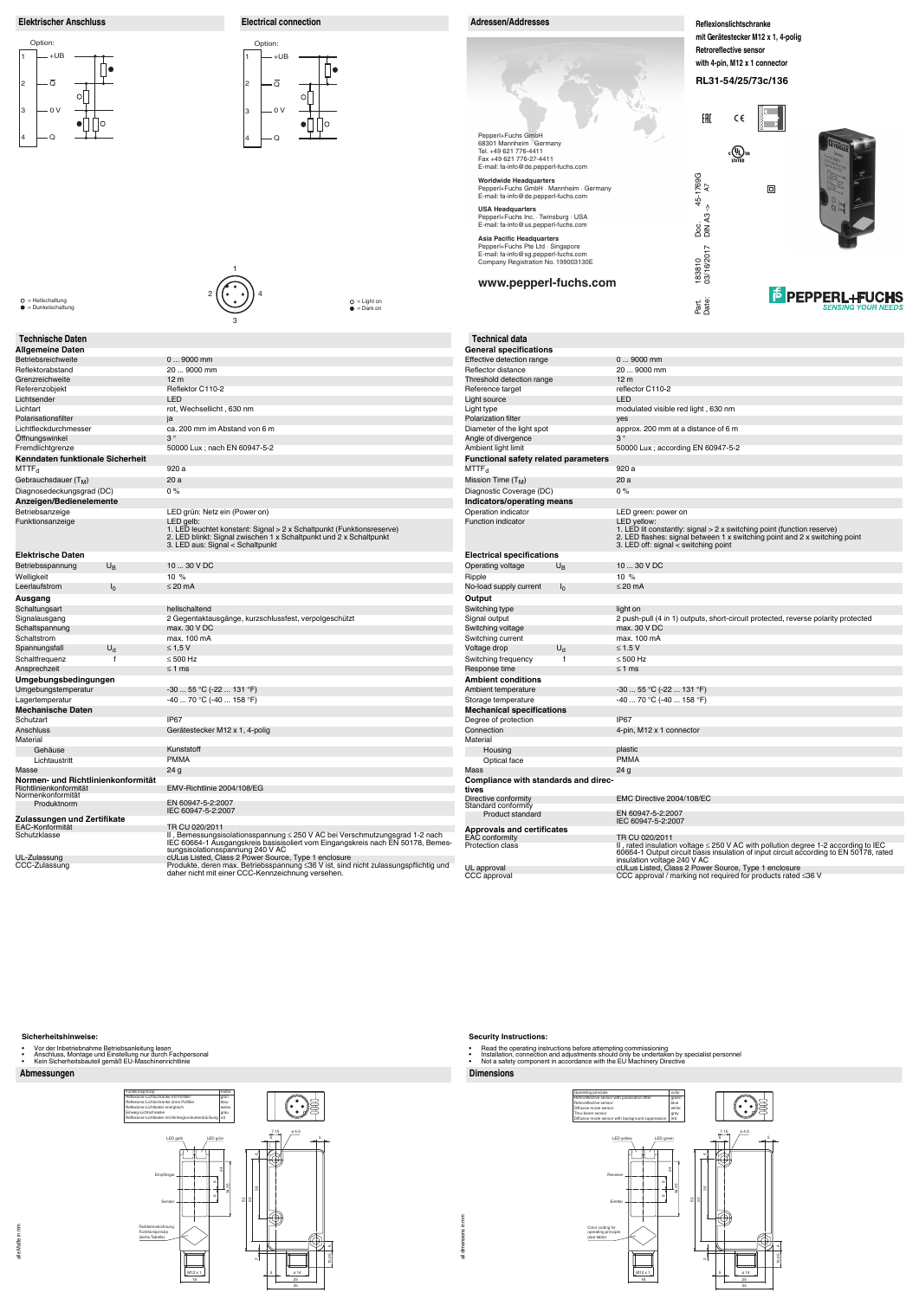# **Abmessungen Dimensions**

#### **Sicherheitshinweise:**

- 
- Vor der Inbetriebnahme Betriebsanleitung lesen Anschluss, Montage und Einstellung nur durch Fachpersonal Kein Sicherheitsbauteil gemäß EU-Maschinenrichtlinie
- 

all dimensions in mm all dimensions in mm

#### **Security Instructions:**

- 
- Read the operating instructions before attempting commissioning<br>• Installation, connection and adjustments should only be undertaken by specialist personnel<br>• Not a safety component in accordance with the EU
- 





| <b>Technische Daten</b>                                      |                |                                                                                                                                                                                                                      | <b>Technical data</b>                                                      |
|--------------------------------------------------------------|----------------|----------------------------------------------------------------------------------------------------------------------------------------------------------------------------------------------------------------------|----------------------------------------------------------------------------|
| <b>Allgemeine Daten</b>                                      |                |                                                                                                                                                                                                                      | General specifiq                                                           |
| Betriebsreichweite                                           |                | $09000$ mm                                                                                                                                                                                                           | <b>Effective detection</b>                                                 |
| Reflektorabstand                                             |                | 20  9000 mm                                                                                                                                                                                                          | Reflector distance                                                         |
| Grenzreichweite                                              |                | 12 <sub>m</sub>                                                                                                                                                                                                      | <b>Threshold detectic</b>                                                  |
| Referenzobjekt                                               |                | Reflektor C110-2                                                                                                                                                                                                     | Reference target                                                           |
| Lichtsender                                                  |                | LED                                                                                                                                                                                                                  | Light source                                                               |
| Lichtart                                                     |                | rot, Wechsellicht, 630 nm                                                                                                                                                                                            | Light type                                                                 |
| Polarisationsfilter                                          |                | ja                                                                                                                                                                                                                   | <b>Polarization filter</b>                                                 |
| Lichtfleckdurchmesser                                        |                | ca. 200 mm im Abstand von 6 m<br>$3^{\circ}$                                                                                                                                                                         | Diameter of the lig                                                        |
| Offnungswinkel                                               |                |                                                                                                                                                                                                                      | Angle of divergend                                                         |
| Fremdlichtgrenze                                             |                | 50000 Lux; nach EN 60947-5-2                                                                                                                                                                                         | Ambient light limit                                                        |
| Kenndaten funktionale Sicherheit                             |                |                                                                                                                                                                                                                      | <b>Functional safet</b>                                                    |
| MTTF <sub>d</sub>                                            |                | 920 a                                                                                                                                                                                                                | $MTTF_d$                                                                   |
| Gebrauchsdauer (T <sub>M</sub> )                             |                | 20a                                                                                                                                                                                                                  | Mission Time (T <sub>M</sub> )                                             |
| Diagnosedeckungsgrad (DC)                                    |                | 0%                                                                                                                                                                                                                   | Diagnostic Covera                                                          |
| Anzeigen/Bedienelemente                                      |                |                                                                                                                                                                                                                      | Indicators/opera                                                           |
| Betriebsanzeige                                              |                | LED grün: Netz ein (Power on)                                                                                                                                                                                        | Operation indicato                                                         |
| Funktionsanzeige                                             |                | LED gelb:<br>1. LED leuchtet konstant: Signal > 2 x Schaltpunkt (Funktionsreserve)<br>2. LED blinkt: Signal zwischen 1 x Schaltpunkt und 2 x Schaltpunkt<br>3. LED aus: Signal < Schaltpunkt                         | <b>Function indicator</b>                                                  |
| <b>Elektrische Daten</b>                                     |                |                                                                                                                                                                                                                      | <b>Electrical specif</b>                                                   |
| Betriebsspannung                                             | $U_{\rm B}$    | 10  30 V DC                                                                                                                                                                                                          | Operating voltage                                                          |
| Welligkeit                                                   |                | 10 %                                                                                                                                                                                                                 | Ripple                                                                     |
| Leerlaufstrom                                                | $I_0$          | $\leq$ 20 mA                                                                                                                                                                                                         | No-load supply cur                                                         |
| Ausgang                                                      |                |                                                                                                                                                                                                                      | Output                                                                     |
| Schaltungsart                                                |                | hellschaltend                                                                                                                                                                                                        | Switching type                                                             |
| Signalausgang                                                |                | 2 Gegentaktausgänge, kurzschlussfest, verpolgeschützt                                                                                                                                                                | Signal output                                                              |
| Schaltspannung                                               |                | max. 30 V DC                                                                                                                                                                                                         | Switching voltage                                                          |
| Schaltstrom                                                  |                | max. 100 mA                                                                                                                                                                                                          | Switching current                                                          |
| Spannungsfall                                                | U <sub>d</sub> | $\leq 1,5$ V                                                                                                                                                                                                         | Voltage drop                                                               |
|                                                              | $\mathsf{f}$   | $\leq 500$ Hz                                                                                                                                                                                                        |                                                                            |
| Schaltfrequenz<br>Ansprechzeit                               |                | $\leq 1$ ms                                                                                                                                                                                                          | Switching frequene<br>Response time                                        |
|                                                              |                |                                                                                                                                                                                                                      | <b>Ambient conditi</b>                                                     |
| Umgebungsbedingungen                                         |                | $-3055$ °C ( $-22131$ °F)                                                                                                                                                                                            |                                                                            |
| Umgebungstemperatur                                          |                |                                                                                                                                                                                                                      | Ambient temperatu                                                          |
| Lagertemperatur                                              |                | $-4070$ °C ( $-40158$ °F)                                                                                                                                                                                            | Storage temperatu                                                          |
| <b>Mechanische Daten</b>                                     |                |                                                                                                                                                                                                                      | Mechanical spe                                                             |
| Schutzart                                                    |                | IP <sub>67</sub>                                                                                                                                                                                                     | Degree of protection                                                       |
| Anschluss                                                    |                | Gerätestecker M12 x 1, 4-polig                                                                                                                                                                                       | Connection                                                                 |
| Material                                                     |                | Kunststoff                                                                                                                                                                                                           | Material                                                                   |
| Gehäuse                                                      |                |                                                                                                                                                                                                                      | Housing                                                                    |
| Lichtaustritt                                                |                | <b>PMMA</b>                                                                                                                                                                                                          | Optical face                                                               |
| Masse                                                        |                | 24 <sub>g</sub>                                                                                                                                                                                                      | Mass                                                                       |
| Normen- und Richtlinienkonformität<br>Richtlinienkonformität |                | EMV-Richtlinie 2004/108/EG                                                                                                                                                                                           | <b>Compliance witl</b><br>tives                                            |
| Normenkonformität<br>Produktnorm                             |                | EN 60947-5-2:2007                                                                                                                                                                                                    | Directive conformi<br>Standard conformi                                    |
|                                                              |                | IEC 60947-5-2:2007                                                                                                                                                                                                   | Product stan                                                               |
| Zulassungen und Zertifikate                                  |                |                                                                                                                                                                                                                      |                                                                            |
| <b>EAC-Konformität</b><br>Schutzklasse                       |                | TR CU 020/2011<br>II, Bemessungsisolationsspannung ≤ 250 V AC bei Verschmutzungsgrad 1-2 nach<br>IEC 60664-1 Ausgangskreis basisisoliert vom Eingangskreis nach EN 50178, Bemes-<br>sungsisolationsspannung 240 V AC | Approvals and <b>o</b><br><b>EAC</b> conformity<br><b>Protection class</b> |
| UL-Zulassung<br>CCC-Zulassung                                |                | cULus Listed, Class 2 Power Source, Type 1 enclosure<br>Produkte, deren max. Betriebsspannung ≤36 V ist, sind nicht zulassungspflichtig und                                                                          |                                                                            |
|                                                              |                | daher nicht mit einer CCC-Kennzeichnung versehen.                                                                                                                                                                    | UL approval<br>CCC approval                                                |











Option: +UB 1 ∏∙  $\overline{\mathsf{Q}}$ 2  $\circ$  $-0V$ 3  $\bullet$ Q 4



| <b>Technical data</b>                         |                                                                                                                                                                     |
|-----------------------------------------------|---------------------------------------------------------------------------------------------------------------------------------------------------------------------|
| <b>General specifications</b>                 |                                                                                                                                                                     |
| Effective detection range                     | $09000$ mm                                                                                                                                                          |
| Reflector distance                            | 20  9000 mm                                                                                                                                                         |
| Threshold detection range                     | 12 <sub>m</sub>                                                                                                                                                     |
| Reference target                              | reflector C110-2                                                                                                                                                    |
| Light source                                  | LED                                                                                                                                                                 |
| Light type                                    | modulated visible red light, 630 nm                                                                                                                                 |
| <b>Polarization filter</b>                    | yes                                                                                                                                                                 |
| Diameter of the light spot                    | approx. 200 mm at a distance of 6 m                                                                                                                                 |
| Angle of divergence                           | $3^{\circ}$                                                                                                                                                         |
| Ambient light limit                           | 50000 Lux ; according EN 60947-5-2                                                                                                                                  |
| <b>Functional safety related parameters</b>   |                                                                                                                                                                     |
| MTTF <sub>d</sub>                             | 920 a                                                                                                                                                               |
| Mission Time (T <sub>M</sub> )                | 20a                                                                                                                                                                 |
| Diagnostic Coverage (DC)                      | $0\%$                                                                                                                                                               |
| Indicators/operating means                    |                                                                                                                                                                     |
| Operation indicator                           | LED green: power on                                                                                                                                                 |
| <b>Function indicator</b>                     | LED yellow:<br>1. LED lit constantly: signal > 2 x switching point (function reserve)<br>2. LED flashes: signal between 1 x switching point and 2 x switching point |
|                                               | 3. LED off: signal < switching point                                                                                                                                |
| <b>Electrical specifications</b>              |                                                                                                                                                                     |
| <b>Operating voltage</b><br>$U_{\text{B}}$    | 10  30 V DC                                                                                                                                                         |
| Ripple                                        | 10%                                                                                                                                                                 |
| No-load supply current<br>I <sub>0</sub>      | $\leq$ 20 mA                                                                                                                                                        |
| Output                                        |                                                                                                                                                                     |
| Switching type                                | light on                                                                                                                                                            |
| Signal output                                 | 2 push-pull (4 in 1) outputs, short-circuit protected, reverse polarity protected                                                                                   |
| Switching voltage                             | max. 30 V DC                                                                                                                                                        |
| Switching current                             | max. 100 mA                                                                                                                                                         |
| $U_{d}$<br>Voltage drop                       | $\leq$ 1.5 V                                                                                                                                                        |
| Switching frequency<br>f                      | $\leq 500$ Hz                                                                                                                                                       |
| Response time                                 | $\leq 1$ ms                                                                                                                                                         |
| <b>Ambient conditions</b>                     |                                                                                                                                                                     |
| Ambient temperature                           | $-3055$ °C ( $-22131$ °F)                                                                                                                                           |
| Storage temperature                           | $-40$ 70 °C ( $-40$ 158 °F)                                                                                                                                         |
| <b>Mechanical specifications</b>              |                                                                                                                                                                     |
| Degree of protection                          | IP <sub>67</sub>                                                                                                                                                    |
| Connection                                    | 4-pin, M12 x 1 connector                                                                                                                                            |
| Material                                      |                                                                                                                                                                     |
| Housing                                       | plastic                                                                                                                                                             |
| Optical face                                  | <b>PMMA</b>                                                                                                                                                         |
| Mass                                          | 24 <sub>g</sub>                                                                                                                                                     |
| Compliance with standards and direc-<br>tives |                                                                                                                                                                     |
| Directive conformity                          | EMC Directive 2004/108/EC                                                                                                                                           |
| Standard conformitv<br>Product standard       | EN 60947-5-2:2007                                                                                                                                                   |
|                                               | IEC 60947-5-2:2007                                                                                                                                                  |
| <b>Approvals and certificates</b>             |                                                                                                                                                                     |
| <b>EAC conformity</b><br>Protection class     | TR CU 020/2011<br>II, rated insulation voltage ≤ 250 V AC with pollution degree 1-2 according to IEC                                                                |
|                                               | 60664-1 Output circuit basis insulation of input circuit according to EN 50178, rated<br>insulation voltage 240 V AC                                                |
| UL approval                                   | cULus Listed, Class 2 Power Source, Type 1 enclosure                                                                                                                |
| CCC approval                                  | CCC approval / marking not required for products rated $\leq$ 36 V                                                                                                  |

= Hellschaltung = Dunkelschaltung

= Light on = Dark on